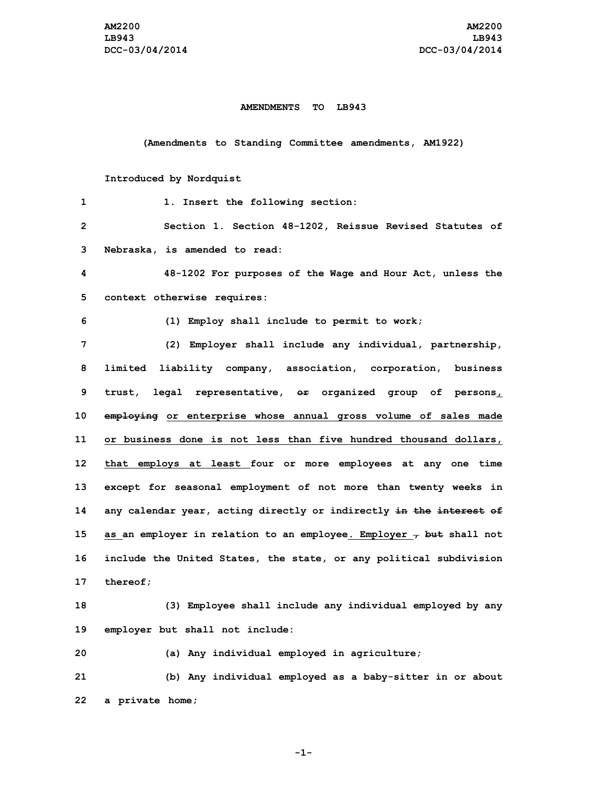## **AMENDMENTS TO LB943**

**(Amendments to Standing Committee amendments, AM1922)**

## **Introduced by Nordquist**

| 1            | 1. Insert the following section:                                                                 |
|--------------|--------------------------------------------------------------------------------------------------|
| $\mathbf{2}$ | Section 1. Section 48-1202, Reissue Revised Statutes of                                          |
| 3            | Nebraska, is amended to read:                                                                    |
| 4            | 48-1202 For purposes of the Wage and Hour Act, unless the                                        |
| 5            | context otherwise requires:                                                                      |
| 6            | (1) Employ shall include to permit to work;                                                      |
| 7            | (2) Employer shall include any individual, partnership,                                          |
| 8            | limited liability company, association, corporation, business                                    |
| 9            | legal representative, $e\text{F}$ organized group of persons <sub><math>L</math></sub><br>trust, |
| 10           | employing or enterprise whose annual gross volume of sales made                                  |
| 11           | or business done is not less than five hundred thousand dollars,                                 |
| 12           | that employs at least four or more employees at any one time                                     |
| 13           | except for seasonal employment of not more than twenty weeks in                                  |
| 14           | any calendar year, acting directly or indirectly in the interest of                              |
| 15           | as an employer in relation to an employee. Employer $\tau$ but shall not                         |
| 16           | include the United States, the state, or any political subdivision                               |
| 17           | thereof;                                                                                         |
| 18           | (3) Employee shall include any individual employed by any                                        |
| 19           | employer but shall not include:                                                                  |
| 20           | (a) Any individual employed in agriculture;                                                      |
| 21           | (b) Any individual employed as a baby-sitter in or about                                         |
| 22           | a private home;                                                                                  |

**-1-**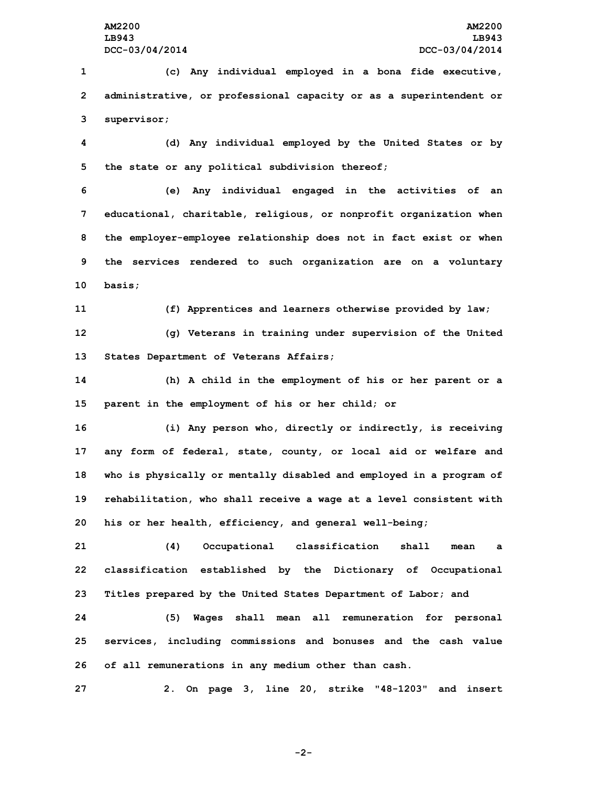**1 (c) Any individual employed in <sup>a</sup> bona fide executive, 2 administrative, or professional capacity or as <sup>a</sup> superintendent or 3 supervisor;**

**4 (d) Any individual employed by the United States or by 5 the state or any political subdivision thereof;**

 **(e) Any individual engaged in the activities of an educational, charitable, religious, or nonprofit organization when the employer-employee relationship does not in fact exist or when the services rendered to such organization are on <sup>a</sup> voluntary 10 basis;**

**11 (f) Apprentices and learners otherwise provided by law;**

**12 (g) Veterans in training under supervision of the United 13 States Department of Veterans Affairs;**

**14 (h) <sup>A</sup> child in the employment of his or her parent or <sup>a</sup> 15 parent in the employment of his or her child; or**

 **(i) Any person who, directly or indirectly, is receiving any form of federal, state, county, or local aid or welfare and who is physically or mentally disabled and employed in <sup>a</sup> program of rehabilitation, who shall receive <sup>a</sup> wage at <sup>a</sup> level consistent with his or her health, efficiency, and general well-being;**

**21 (4) Occupational classification shall mean <sup>a</sup> 22 classification established by the Dictionary of Occupational 23 Titles prepared by the United States Department of Labor; and**

**24 (5) Wages shall mean all remuneration for personal 25 services, including commissions and bonuses and the cash value 26 of all remunerations in any medium other than cash.**

**27 2. On page 3, line 20, strike "48-1203" and insert**

**-2-**